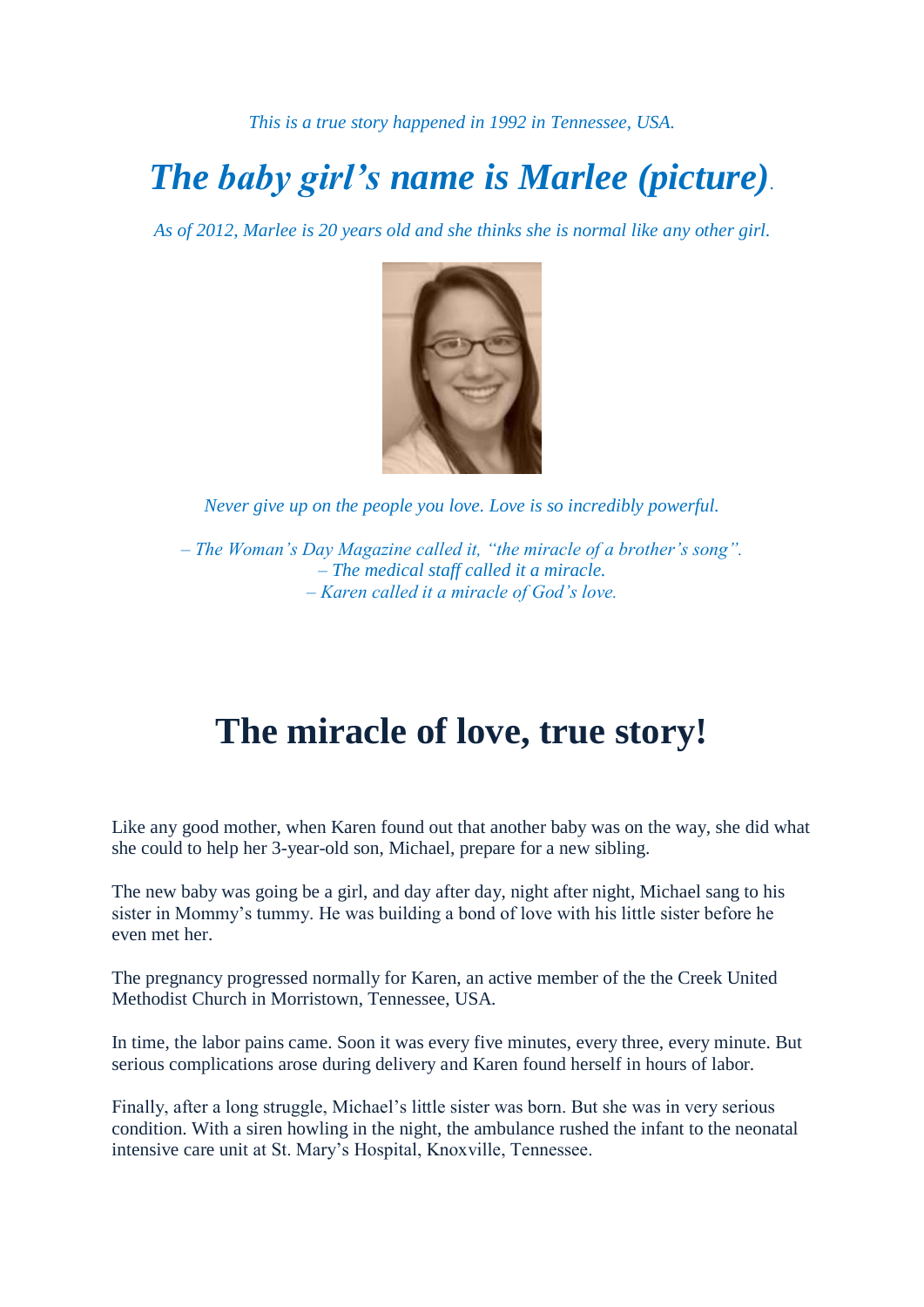*This is a true story happened in 1992 in Tennessee, USA.* 

## *The baby girl's name is Marlee (picture).*

*As of 2012, Marlee is 20 years old and she thinks she is normal like any other girl.*



*Never give up on the people you love. Love is so incredibly powerful.*

*– The Woman's Day Magazine called it, "the miracle of a brother's song". – The medical staff called it a miracle. – Karen called it a miracle of God's love.*

## **The miracle of love, true story!**

Like any good mother, when Karen found out that another baby was on the way, she did what she could to help her 3-year-old son, Michael, prepare for a new sibling.

The new baby was going be a girl, and day after day, night after night, Michael sang to his sister in Mommy's tummy. He was building a bond of love with his little sister before he even met her.

The pregnancy progressed normally for Karen, an active member of the the Creek United Methodist Church in Morristown, Tennessee, USA.

In time, the labor pains came. Soon it was every five minutes, every three, every minute. But serious complications arose during delivery and Karen found herself in hours of labor.

Finally, after a long struggle, Michael's little sister was born. But she was in very serious condition. With a siren howling in the night, the ambulance rushed the infant to the neonatal intensive care unit at St. Mary's Hospital, Knoxville, Tennessee.